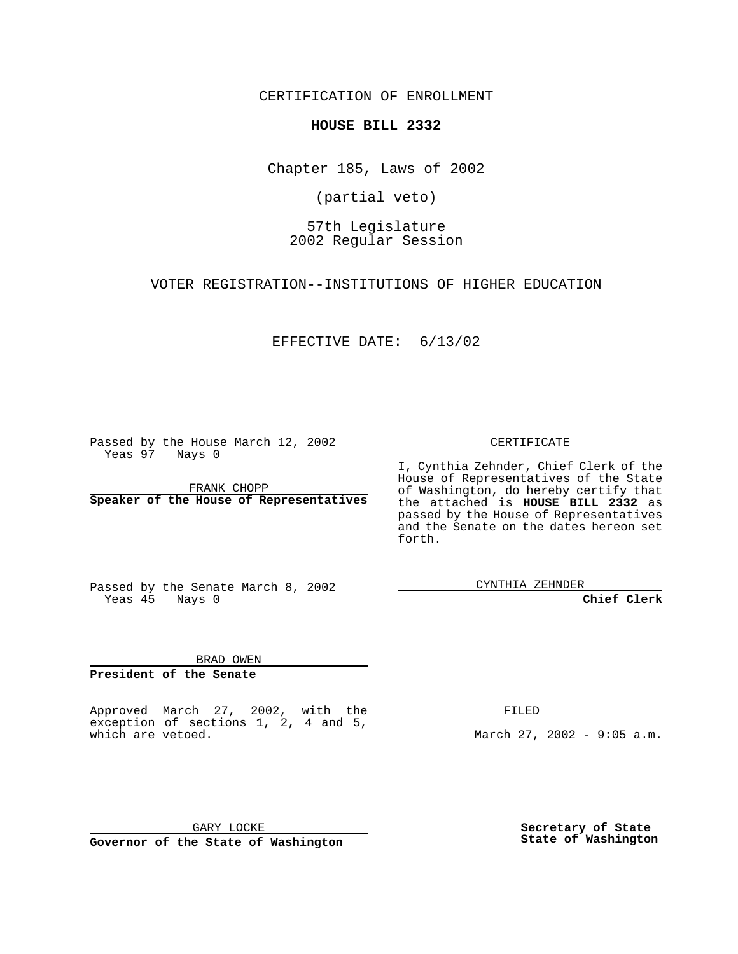CERTIFICATION OF ENROLLMENT

# **HOUSE BILL 2332**

Chapter 185, Laws of 2002

(partial veto)

57th Legislature 2002 Regular Session

VOTER REGISTRATION--INSTITUTIONS OF HIGHER EDUCATION

EFFECTIVE DATE: 6/13/02

Passed by the House March 12, 2002 Yeas 97 Nays 0

FRANK CHOPP **Speaker of the House of Representatives**

#### CERTIFICATE

I, Cynthia Zehnder, Chief Clerk of the House of Representatives of the State of Washington, do hereby certify that the attached is **HOUSE BILL 2332** as passed by the House of Representatives and the Senate on the dates hereon set forth.

Passed by the Senate March 8, 2002 Yeas 45 Nays 0

CYNTHIA ZEHNDER

### **Chief Clerk**

BRAD OWEN

**President of the Senate**

Approved March 27, 2002, with the exception of sections 1, 2, 4 and 5, which are vetoed.

FILED

March 27, 2002 - 9:05 a.m.

GARY LOCKE **Governor of the State of Washington** **Secretary of State State of Washington**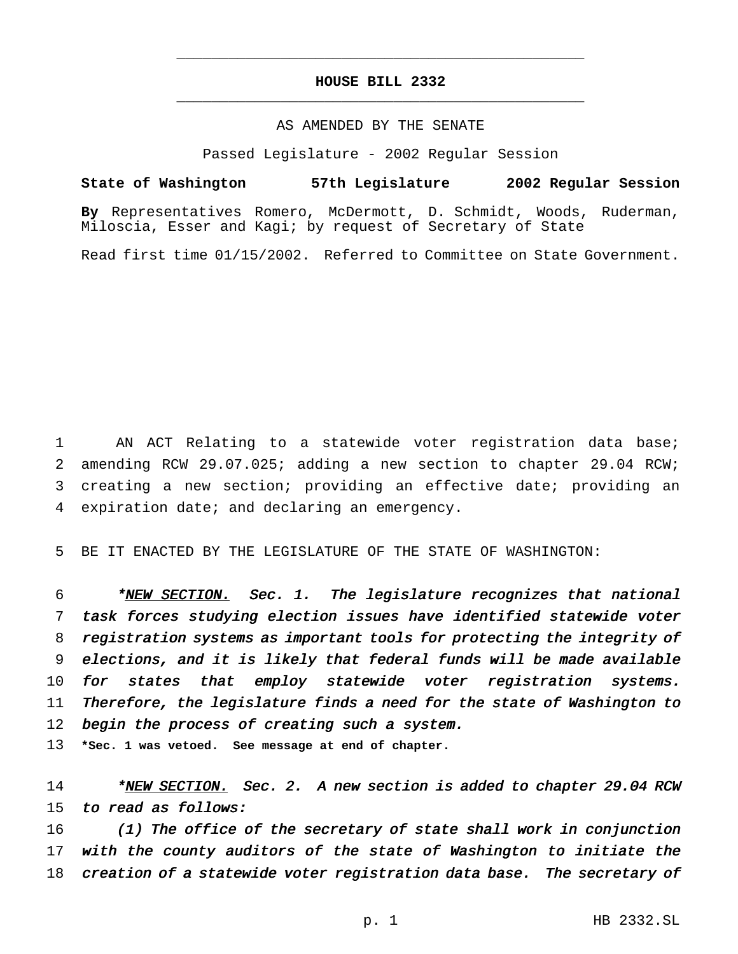## **HOUSE BILL 2332** \_\_\_\_\_\_\_\_\_\_\_\_\_\_\_\_\_\_\_\_\_\_\_\_\_\_\_\_\_\_\_\_\_\_\_\_\_\_\_\_\_\_\_\_\_\_\_

\_\_\_\_\_\_\_\_\_\_\_\_\_\_\_\_\_\_\_\_\_\_\_\_\_\_\_\_\_\_\_\_\_\_\_\_\_\_\_\_\_\_\_\_\_\_\_

### AS AMENDED BY THE SENATE

Passed Legislature - 2002 Regular Session

#### **State of Washington 57th Legislature 2002 Regular Session**

**By** Representatives Romero, McDermott, D. Schmidt, Woods, Ruderman, Miloscia, Esser and Kagi; by request of Secretary of State

Read first time 01/15/2002. Referred to Committee on State Government.

 AN ACT Relating to a statewide voter registration data base; amending RCW 29.07.025; adding a new section to chapter 29.04 RCW; creating a new section; providing an effective date; providing an expiration date; and declaring an emergency.

5 BE IT ENACTED BY THE LEGISLATURE OF THE STATE OF WASHINGTON:

6 \*NEW SECTION. Sec. 1. The legislature recognizes that national 7 task forces studying election issues have identified statewide voter 8 registration systems as important tools for protecting the integrity of 9 elections, and it is likely that federal funds will be made available 10 for states that employ statewide voter registration systems. 11 Therefore, the legislature finds <sup>a</sup> need for the state of Washington to 12 begin the process of creating such a system.

13 **\*Sec. 1 was vetoed. See message at end of chapter.**

14 \*<u>NEW SECTION.</u> Sec. 2. A new section is added to chapter 29.04 RCW 15 to read as follows:

16 (1) The office of the secretary of state shall work in conjunction 17 with the county auditors of the state of Washington to initiate the 18 creation of a statewide voter registration data base. The secretary of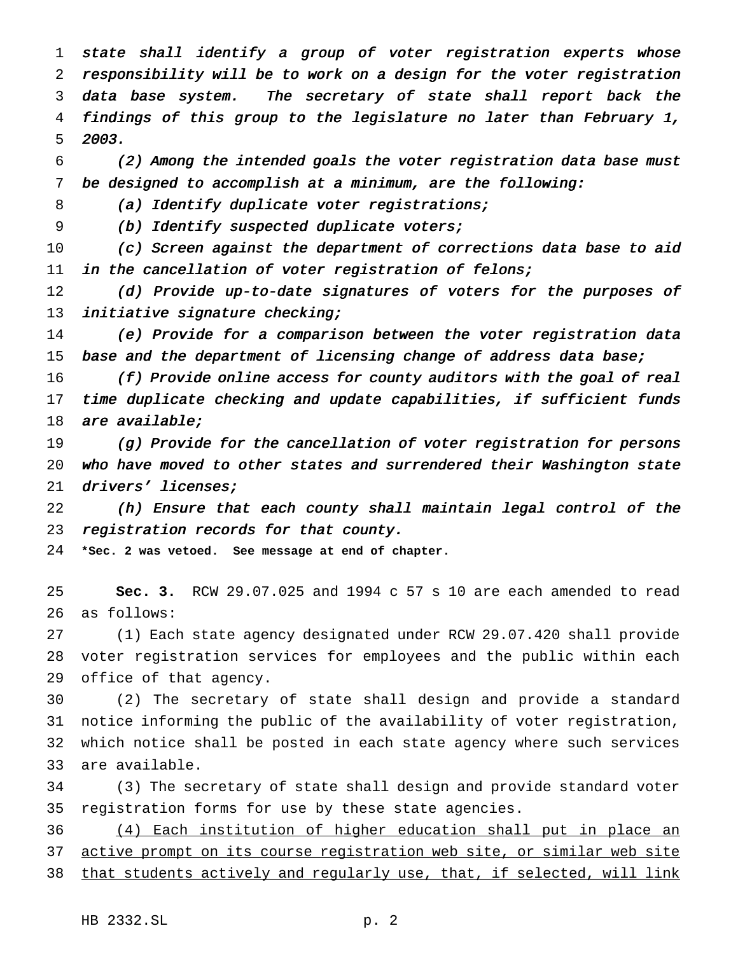state shall identify <sup>a</sup> group of voter registration experts whose responsibility will be to work on <sup>a</sup> design for the voter registration data base system. The secretary of state shall report back the findings of this group to the legislature no later than February 1, 2003.

 (2) Among the intended goals the voter registration data base must be designed to accomplish at <sup>a</sup> minimum, are the following:

8 (a) Identify duplicate voter registrations;

(b) Identify suspected duplicate voters;

10 (c) Screen against the department of corrections data base to aid in the cancellation of voter registration of felons;

12 (d) Provide up-to-date signatures of voters for the purposes of 13 initiative signature checking;

 (e) Provide for <sup>a</sup> comparison between the voter registration data 15 base and the department of licensing change of address data base;

 (f) Provide online access for county auditors with the goal of real time duplicate checking and update capabilities, if sufficient funds 18 are available;

 (g) Provide for the cancellation of voter registration for persons who have moved to other states and surrendered their Washington state drivers' licenses;

 (h) Ensure that each county shall maintain legal control of the registration records for that county.

**\*Sec. 2 was vetoed. See message at end of chapter.**

 **Sec. 3.** RCW 29.07.025 and 1994 c 57 s 10 are each amended to read as follows:

 (1) Each state agency designated under RCW 29.07.420 shall provide voter registration services for employees and the public within each office of that agency.

 (2) The secretary of state shall design and provide a standard notice informing the public of the availability of voter registration, which notice shall be posted in each state agency where such services are available.

 (3) The secretary of state shall design and provide standard voter registration forms for use by these state agencies.

 (4) Each institution of higher education shall put in place an 37 active prompt on its course registration web site, or similar web site 38 that students actively and regularly use, that, if selected, will link